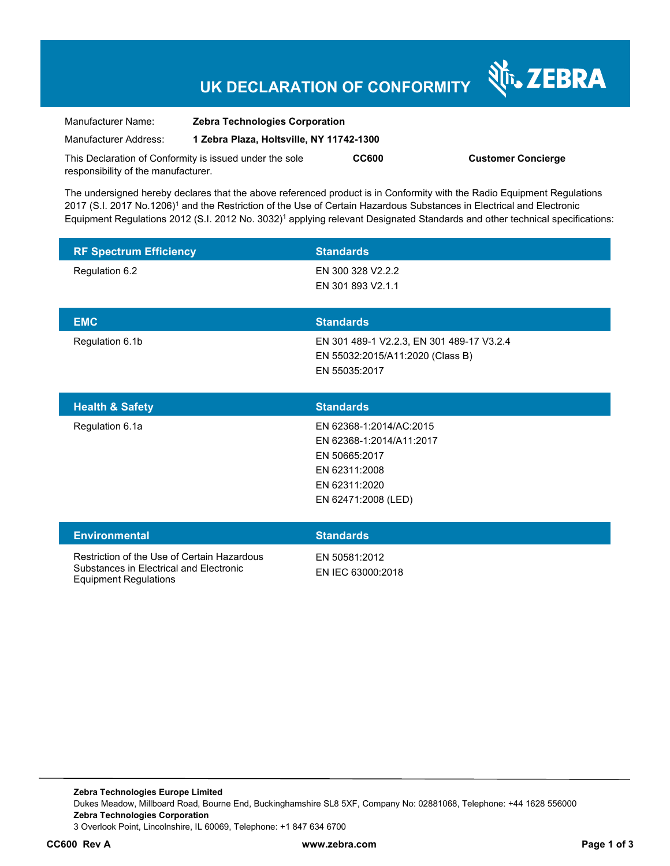# **UK DECLARATION OF CONFORMITY**

Nr. ZEBRA

| Manufacturer Name:                                      | <b>Zebra Technologies Corporation</b>    |              |                           |
|---------------------------------------------------------|------------------------------------------|--------------|---------------------------|
| Manufacturer Address:                                   | 1 Zebra Plaza, Holtsville, NY 11742-1300 |              |                           |
| This Declaration of Conformity is issued under the sole |                                          | <b>CC600</b> | <b>Customer Concierge</b> |
| responsibility of the manufacturer.                     |                                          |              |                           |

The undersigned hereby declares that the above referenced product is in Conformity with the Radio Equipment Regulations 2017 (S.I. 2017 No.1206)<sup>1</sup> and the Restriction of the Use of Certain Hazardous Substances in Electrical and Electronic Equipment Regulations 2012 (S.I. 2012 No. 3032)<sup>1</sup> applying relevant Designated Standards and other technical specifications:

| <b>RF Spectrum Efficiency</b> | <b>Standards</b>                                  |
|-------------------------------|---------------------------------------------------|
| Regulation 6.2                | EN 300 328 V2.2.2                                 |
|                               | EN 301 893 V2.1.1                                 |
| <b>EMC</b>                    | <b>Standards</b>                                  |
| Regulation 6.1b               | EN 301 489-1 V2.2.3, EN 301 489-17 V3.2.4         |
|                               | EN 55032:2015/A11:2020 (Class B)<br>EN 55035:2017 |
|                               |                                                   |
| <b>Health &amp; Safety</b>    | <b>Standards</b>                                  |
|                               |                                                   |
| Regulation 6.1a               | EN 62368-1:2014/AC:2015                           |
|                               | EN 62368-1:2014/A11:2017                          |
|                               | EN 50665:2017                                     |
|                               | EN 62311:2008                                     |
|                               | EN 62311:2020                                     |

| <b>Environmental</b>                                                                                                   | <b>Standards</b>                   |
|------------------------------------------------------------------------------------------------------------------------|------------------------------------|
| Restriction of the Use of Certain Hazardous<br>Substances in Electrical and Electronic<br><b>Equipment Regulations</b> | EN 50581:2012<br>EN IEC 63000:2018 |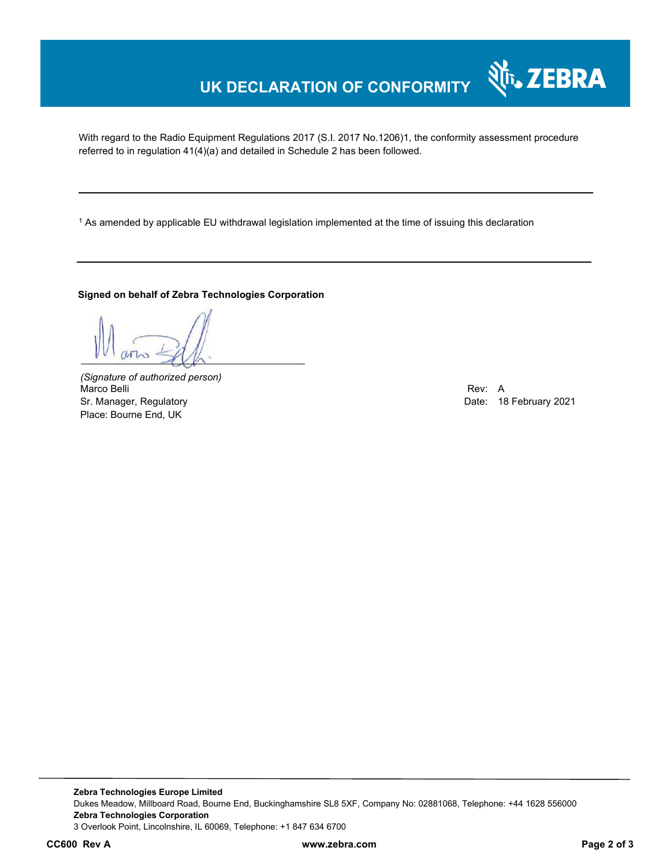# **UK DECLARATION OF CONFORMITY**

With regard to the Radio Equipment Regulations 2017 (S.I. 2017 No.1206)1, the conformity assessment procedure referred to in regulation 41(4)(a) and detailed in Schedule 2 has been followed.

 $^{\rm 1}$  As amended by applicable EU withdrawal legislation implemented at the time of issuing this declaration

#### **Signed on behalf of Zebra Technologies Corporation**

*(Signature of authorized person)* Marco Belli Rev: A Sr. Manager, Regulatory and European Communication Communication Communication Communication Date: 18 February 2021 Place: Bourne End, UK

र्शे<sub>ि</sub> ZEBRA

**Zebra Technologies Europe Limited**  Dukes Meadow, Millboard Road, Bourne End, Buckinghamshire SL8 5XF, Company No: 02881068, Telephone: +44 1628 556000 **Zebra Technologies Corporation**  3 Overlook Point, Lincolnshire, IL 60069, Telephone: +1 847 634 6700